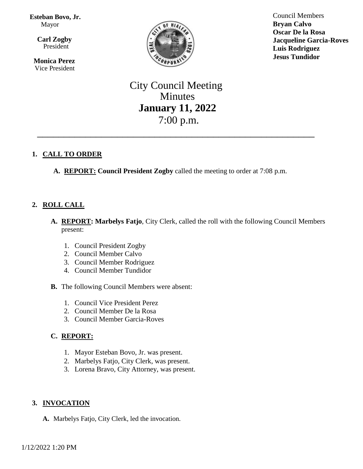**Esteban Bovo, Jr.**  Mayor

 $\overline{\mathbf{a}}$  **Carl Zogby** President

> **Monica Perez** Vice President



Council Members **Bryan Calvo Oscar De la Rosa Jacqueline Garcia-Roves Luis Rodriguez Jesus Tundidor**

# City Council Meeting Minutes **January 11, 2022** 7:00 p.m.

\_\_\_\_\_\_\_\_\_\_\_\_\_\_\_\_\_\_\_\_\_\_\_\_\_\_\_\_\_\_\_\_\_\_\_\_\_\_\_\_\_\_\_\_\_\_\_\_\_\_\_\_

# **1. CALL TO ORDER**

**A. REPORT: Council President Zogby** called the meeting to order at 7:08 p.m.

# **2. ROLL CALL**

- **A. REPORT: Marbelys Fatjo**, City Clerk, called the roll with the following Council Members present:
	- 1. Council President Zogby
	- 2. Council Member Calvo
	- 3. Council Member Rodriguez
	- 4. Council Member Tundidor
- **B.** The following Council Members were absent:
	- 1. Council Vice President Perez
	- 2. Council Member De la Rosa
	- 3. Council Member Garcia-Roves

### **C. REPORT:**

- 1. Mayor Esteban Bovo, Jr. was present.
- 2. Marbelys Fatjo, City Clerk, was present.
- 3. Lorena Bravo, City Attorney, was present.

### **3. INVOCATION**

**A.** Marbelys Fatjo, City Clerk, led the invocation.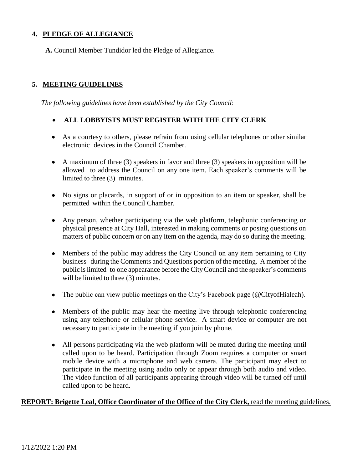# **4. PLEDGE OF ALLEGIANCE**

**A.** Council Member Tundidor led the Pledge of Allegiance.

# **5. MEETING GUIDELINES**

*The following guidelines have been established by the City Council*:

### **ALL LOBBYISTS MUST REGISTER WITH THE CITY CLERK**

- As a courtesy to others, please refrain from using cellular telephones or other similar electronic devices in the Council Chamber.
- A maximum of three (3) speakers in favor and three (3) speakers in opposition will be allowed to address the Council on any one item. Each speaker's comments will be limited to three (3) minutes.
- No signs or placards, in support of or in opposition to an item or speaker, shall be permitted within the Council Chamber.
- Any person, whether participating via the web platform, telephonic conferencing or physical presence at City Hall, interested in making comments or posing questions on matters of public concern or on any item on the agenda, may do so during the meeting.
- Members of the public may address the City Council on any item pertaining to City business during the Comments and Questions portion of the meeting. A member of the public islimited to one appearance before the CityCouncil and the speaker's comments will be limited to three (3) minutes.
- The public can view public meetings on the City's Facebook page (@CityofHialeah).
- Members of the public may hear the meeting live through telephonic conferencing using any telephone or cellular phone service. A smart device or computer are not necessary to participate in the meeting if you join by phone.
- All persons participating via the web platform will be muted during the meeting until called upon to be heard. Participation through Zoom requires a computer or smart mobile device with a microphone and web camera. The participant may elect to participate in the meeting using audio only or appear through both audio and video. The video function of all participants appearing through video will be turned off until called upon to be heard.

### **REPORT: Brigette Leal, Office Coordinator of the Office of the City Clerk,** read the meeting guidelines.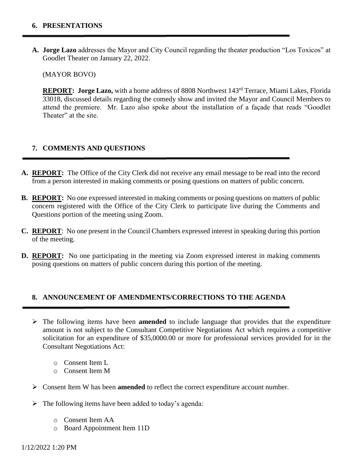**A. Jorge Lazo** addresses the Mayor and City Council regarding the theater production "Los Toxicos" at Goodlet Theater on January 22, 2022.

(MAYOR BOVO)

**REPORT: Jorge Lazo,** with a home address of 8808 Northwest 143rd Terrace, Miami Lakes, Florida 33018, discussed details regarding the comedy show and invited the Mayor and Council Members to attend the premiere. Mr. Lazo also spoke about the installation of a façade that reads "Goodlet Theater" at the site.

### **7. COMMENTS AND QUESTIONS**

- **A. REPORT:** The Office of the City Clerk did not receive any email message to be read into the record from a person interested in making comments or posing questions on matters of public concern.
- **B. REPORT:** No one expressed interested in making comments or posing questions on matters of public concern registered with the Office of the City Clerk to participate live during the Comments and Questions portion of the meeting using Zoom.
- **C. REPORT**: No one present in the Council Chambers expressed interest in speaking during this portion of the meeting.
- **D. REPORT:** No one participating in the meeting via Zoom expressed interest in making comments posing questions on matters of public concern during this portion of the meeting.

#### **8. ANNOUNCEMENT OF AMENDMENTS/CORRECTIONS TO THE AGENDA**

- $\triangleright$  The following items have been **amended** to include language that provides that the expenditure amount is not subject to the Consultant Competitive Negotiations Act which requires a competitive solicitation for an expenditure of \$35,0000.00 or more for professional services provided for in the Consultant Negotiations Act:
	- o Consent Item L
	- o Consent Item M
- Consent Item W has been **amended** to reflect the correct expenditure account number.
- $\triangleright$  The following items have been added to today's agenda:
	- o Consent Item AA
	- o Board Appointment Item 11D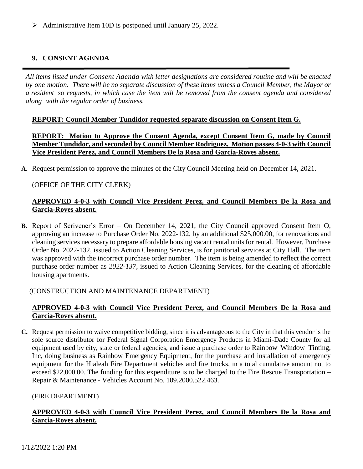Administrative Item 10D is postponed until January 25, 2022.

# **9. CONSENT AGENDA**

*All items listed under Consent Agenda with letter designations are considered routine and will be enacted* by one motion. There will be no separate discussion of these items unless a Council Member, the Mayor or a resident so requests, in which case the item will be removed from the consent agenda and considered *along with the regular order of business.*

#### **REPORT: Council Member Tundidor requested separate discussion on Consent Item G.**

**REPORT: Motion to Approve the Consent Agenda, except Consent Item G, made by Council Member Tundidor, and seconded by Council Member Rodriguez. Motion passes 4-0-3 with Council Vice President Perez, and Council Members De la Rosa and Garcia-Roves absent.**

**A.** Request permission to approve the minutes of the City Council Meeting held on December 14, 2021.

#### (OFFICE OF THE CITY CLERK)

### **APPROVED 4-0-3 with Council Vice President Perez, and Council Members De la Rosa and Garcia-Roves absent.**

**B.** Report of Scrivener's Error – On December 14, 2021, the City Council approved Consent Item O, approving an increase to Purchase Order No. 2022-132, by an additional \$25,000.00, for renovations and cleaning services necessary to prepare affordable housing vacant rental units for rental. However, Purchase Order No. 2022-132, issued to Action Cleaning Services, is for janitorial services at City Hall. The item was approved with the incorrect purchase order number. The item is being amended to reflect the correct purchase order number as *2022-137*, issued to Action Cleaning Services, for the cleaning of affordable housing apartments.

#### (CONSTRUCTION AND MAINTENANCE DEPARTMENT)

### **APPROVED 4-0-3 with Council Vice President Perez, and Council Members De la Rosa and Garcia-Roves absent.**

**C.** Request permission to waive competitive bidding, since it is advantageous to the City in that this vendor is the sole source distributor for Federal Signal Corporation Emergency Products in Miami-Dade County for all equipment used by city, state or federal agencies, and issue a purchase order to Rainbow Window Tinting, Inc, doing business as Rainbow Emergency Equipment, for the purchase and installation of emergency equipment for the Hialeah Fire Department vehicles and fire trucks, in a total cumulative amount not to exceed \$22,000.00. The funding for this expenditure is to be charged to the Fire Rescue Transportation – Repair & Maintenance - Vehicles Account No. 109.2000.522.463.

#### (FIRE DEPARTMENT)

### **APPROVED 4-0-3 with Council Vice President Perez, and Council Members De la Rosa and Garcia-Roves absent.**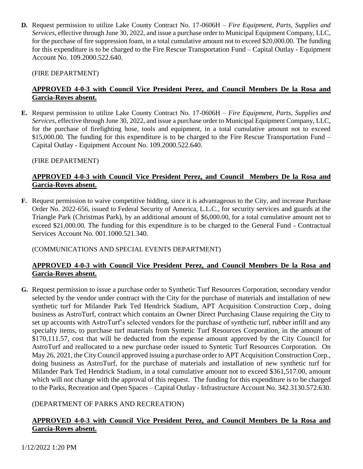**D.** Request permission to utilize Lake County Contract No. 17-0606H – *Fire Equipment, Parts, Supplies and Services*, effective through June 30, 2022, and issue a purchase order to Municipal Equipment Company, LLC, for the purchase of fire suppression foam, in a total cumulative amount not to exceed \$20,000.00. The funding for this expenditure is to be charged to the Fire Rescue Transportation Fund – Capital Outlay - Equipment Account No. 109.2000.522.640.

(FIRE DEPARTMENT)

# **APPROVED 4-0-3 with Council Vice President Perez, and Council Members De la Rosa and Garcia-Roves absent.**

**E.** Request permission to utilize Lake County Contract No. 17-0606H – *Fire Equipment, Parts, Supplies and Services*, effective through June 30, 2022, and issue a purchase order to Municipal Equipment Company, LLC, for the purchase of firefighting hose, tools and equipment, in a total cumulative amount not to exceed \$15,000.00. The funding for this expenditure is to be charged to the Fire Rescue Transportation Fund – Capital Outlay - Equipment Account No. 109.2000.522.640.

(FIRE DEPARTMENT)

# **APPROVED 4-0-3 with Council Vice President Perez, and Council Members De la Rosa and Garcia-Roves absent.**

**F.** Request permission to waive competitive bidding, since it is advantageous to the City, and increase Purchase Order No. 2022-656, issued to Federal Security of America, L.L.C., for security services and guards at the Triangle Park (Christmas Park), by an additional amount of \$6,000.00, for a total cumulative amount not to exceed \$21,000.00. The funding for this expenditure is to be charged to the General Fund - Contractual Services Account No. 001.1000.521.340.

# (COMMUNICATIONS AND SPECIAL EVENTS DEPARTMENT)

# **APPROVED 4-0-3 with Council Vice President Perez, and Council Members De la Rosa and Garcia-Roves absent.**

**G.** Request permission to issue a purchase order to Synthetic Turf Resources Corporation, secondary vendor selected by the vendor under contract with the City for the purchase of materials and installation of new synthetic turf for Milander Park Ted Hendrick Stadium, APT Acquisition Construction Corp., doing business as AstroTurf, contract which contains an Owner Direct Purchasing Clause requiring the City to set up accounts with AstroTurf's selected vendors for the purchase of synthetic turf, rubber infill and any specialty items, to purchase turf materials from Syntetic Turf Resources Corporation, in the amount of \$170,111.57, cost that will be deducted from the expense amount approved by the City Council for AstroTurf and reallocated to a new purchase order issued to Syntetic Turf Resources Corporation. On May 26, 2021, the City Council approved issuing a purchase order to APT Acquisition Construction Corp., doing business as AstroTurf, for the purchase of materials and installation of new synthetic turf for Milander Park Ted Hendrick Stadium, in a total cumulative amount not to exceed \$361,517.00, amount which will not change with the approval of this request. The funding for this expenditure is to be charged to the Parks, Recreation and Open Spaces – Capital Outlay - Infrastructure Account No. 342.3130.572.630.

# (DEPARTMENT OF PARKS AND RECREATION)

# **APPROVED 4-0-3 with Council Vice President Perez, and Council Members De la Rosa and Garcia-Roves absent.**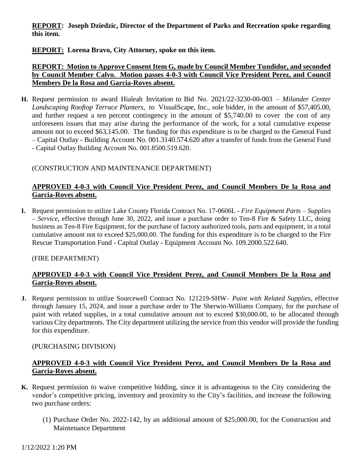### **REPORT: Joseph Dziedzic, Director of the Department of Parks and Recreation spoke regarding this item.**

# **REPORT: Lorena Bravo, City Attorney, spoke on this item.**

### **REPORT: Motion to Approve Consent Item G, made by Council Member Tundidor, and seconded by Council Member Calvo. Motion passes 4-0-3 with Council Vice President Perez, and Council Members De la Rosa and Garcia-Roves absent.**

**H.** Request permission to award Hialeah Invitation to Bid No. 2021/22-3230-00-003 – *Milander Center Landscaping Rooftop Terrace Planters,* to VisualScape, Inc., sole bidder, in the amount of \$57,405.00, and further request a ten percent contingency in the amount of \$5,740.00 to cover the cost of any unforeseen issues that may arise during the performance of the work, for a total cumulative expense amount not to exceed \$63,145.00. The funding for this expenditure is to be charged to the General Fund – Capital Outlay - Building Account No. 001.3140.574.620 after a transfer of funds from the General Fund - Capital Outlay Building Account No. 001.8500.519.620.

### (CONSTRUCTION AND MAINTENANCE DEPARTMENT)

# **APPROVED 4-0-3 with Council Vice President Perez, and Council Members De la Rosa and Garcia-Roves absent.**

**I.** Request permission to utilize Lake County Florida Contract No. 17-0606L - *Fire Equipment Parts – Supplies – Service,* effective through June 30, 2022, and issue a purchase order to Ten-8 Fire & Safety LLC, doing business as Ten-8 Fire Equipment, for the purchase of factory authorized tools, parts and equipment, in a total cumulative amount not to exceed \$25,000.00. The funding for this expenditure is to be charged to the Fire Rescue Transportation Fund - Capital Outlay - Equipment Account No. 109.2000.522.640.

#### (FIRE DEPARTMENT)

### **APPROVED 4-0-3 with Council Vice President Perez, and Council Members De la Rosa and Garcia-Roves absent.**

**J.** Request permission to utilize Sourcewell Contract No. 121219-SHW– *Paint with Related Supplies,* effective through January 15, 2024, and issue a purchase order to The Sherwin-Williams Company, for the purchase of paint with related supplies, in a total cumulative amount not to exceed \$30,000.00, to be allocated through various City departments. The City department utilizing the service from this vendor will provide the funding for this expenditure.

### (PURCHASING DIVISION)

#### **APPROVED 4-0-3 with Council Vice President Perez, and Council Members De la Rosa and Garcia-Roves absent.**

- **K.** Request permission to waive competitive bidding, since it is advantageous to the City considering the vendor's competitive pricing, inventory and proximity to the City's facilities, and increase the following two purchase orders:
	- (1) Purchase Order No. 2022-142, by an additional amount of \$25,000.00, for the Construction and Maintenance Department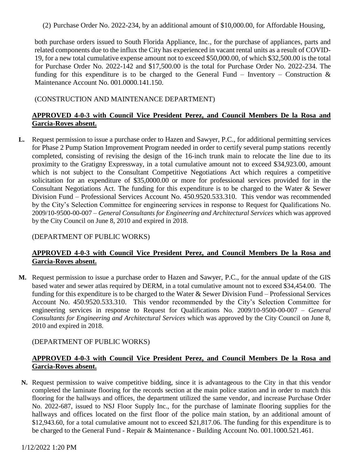(2) Purchase Order No. 2022-234, by an additional amount of \$10,000.00, for Affordable Housing,

both purchase orders issued to South Florida Appliance, Inc., for the purchase of appliances, parts and related components due to the influx the City has experienced in vacant rental units as a result of COVID-19, for a new total cumulative expense amount not to exceed \$50,000.00*,* of which \$32,500.00 is the total for Purchase Order No. 2022-142 and \$17,500.00 is the total for Purchase Order No. 2022-234. The funding for this expenditure is to be charged to the General Fund – Inventory – Construction  $\&$ Maintenance Account No. 001.0000.141.150.

# (CONSTRUCTION AND MAINTENANCE DEPARTMENT)

# **APPROVED 4-0-3 with Council Vice President Perez, and Council Members De la Rosa and Garcia-Roves absent.**

**L.** Request permission to issue a purchase order to Hazen and Sawyer, P.C., for additional permitting services for Phase 2 Pump Station Improvement Program needed in order to certify several pump stations recently completed, consisting of revising the design of the 16-inch trunk main to relocate the line due to its proximity to the Gratigny Expressway, in a total cumulative amount not to exceed \$34,923.00, amount which is not subject to the Consultant Competitive Negotiations Act which requires a competitive solicitation for an expenditure of \$35,0000.00 or more for professional services provided for in the Consultant Negotiations Act. The funding for this expenditure is to be charged to the Water & Sewer Division Fund – Professional Services Account No. 450.9520.533.310. This vendor was recommended by the City's Selection Committee for engineering services in response to Request for Qualifications No. 2009/10-9500-00-007 – *General Consultants for Engineering and Architectural Services* which was approved by the City Council on June 8, 2010 and expired in 2018.

#### (DEPARTMENT OF PUBLIC WORKS)

### **APPROVED 4-0-3 with Council Vice President Perez, and Council Members De la Rosa and Garcia-Roves absent.**

**M.** Request permission to issue a purchase order to Hazen and Sawyer, P.C., for the annual update of the GIS based water and sewer atlas required by DERM, in a total cumulative amount not to exceed \$34,454.00. The funding for this expenditure is to be charged to the Water & Sewer Division Fund – Professional Services Account No. 450.9520.533.310. This vendor recommended by the City's Selection Committee for engineering services in response to Request for Qualifications No. 2009/10-9500-00-007 – *General Consultants for Engineering and Architectural Services* which was approved by the City Council on June 8, 2010 and expired in 2018.

#### (DEPARTMENT OF PUBLIC WORKS)

### **APPROVED 4-0-3 with Council Vice President Perez, and Council Members De la Rosa and Garcia-Roves absent.**

**N.** Request permission to waive competitive bidding, since it is advantageous to the City in that this vendor completed the laminate flooring for the records section at the main police station and in order to match this flooring for the hallways and offices, the department utilized the same vendor, and increase Purchase Order No. 2022-687, issued to NSJ Floor Supply Inc., for the purchase of laminate flooring supplies for the hallways and offices located on the first floor of the police main station, by an additional amount of \$12,943.60, for a total cumulative amount not to exceed \$21,817.06. The funding for this expenditure is to be charged to the General Fund - Repair & Maintenance - Building Account No. 001.1000.521.461.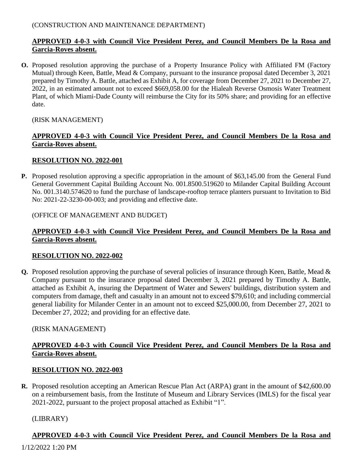#### (CONSTRUCTION AND MAINTENANCE DEPARTMENT)

# **APPROVED 4-0-3 with Council Vice President Perez, and Council Members De la Rosa and Garcia-Roves absent.**

**O.** Proposed resolution approving the purchase of a Property Insurance Policy with Affiliated FM (Factory Mutual) through Keen, Battle, Mead & Company, pursuant to the insurance proposal dated December 3, 2021 prepared by Timothy A. Battle, attached as Exhibit A, for coverage from December 27, 2021 to December 27, 2022, in an estimated amount not to exceed \$669,058.00 for the Hialeah Reverse Osmosis Water Treatment Plant, of which Miami-Dade County will reimburse the City for its 50% share; and providing for an effective date.

#### (RISK MANAGEMENT)

#### **APPROVED 4-0-3 with Council Vice President Perez, and Council Members De la Rosa and Garcia-Roves absent.**

#### **RESOLUTION NO. 2022-001**

**P.** Proposed resolution approving a specific appropriation in the amount of \$63,145.00 from the General Fund General Government Capital Building Account No. 001.8500.519620 to Milander Capital Building Account No. 001.3140.574620 to fund the purchase of landscape-rooftop terrace planters pursuant to Invitation to Bid No: 2021-22-3230-00-003; and providing and effective date.

#### (OFFICE OF MANAGEMENT AND BUDGET)

### **APPROVED 4-0-3 with Council Vice President Perez, and Council Members De la Rosa and Garcia-Roves absent.**

#### **RESOLUTION NO. 2022-002**

**Q.** Proposed resolution approving the purchase of several policies of insurance through Keen, Battle, Mead & Company pursuant to the insurance proposal dated December 3, 2021 prepared by Timothy A. Battle, attached as Exhibit A, insuring the Department of Water and Sewers' buildings, distribution system and computers from damage, theft and casualty in an amount not to exceed \$79,610; and including commercial general liability for Milander Center in an amount not to exceed \$25,000.00, from December 27, 2021 to December 27, 2022; and providing for an effective date.

#### (RISK MANAGEMENT)

### **APPROVED 4-0-3 with Council Vice President Perez, and Council Members De la Rosa and Garcia-Roves absent.**

#### **RESOLUTION NO. 2022-003**

**R.** Proposed resolution accepting an American Rescue Plan Act (ARPA) grant in the amount of \$42,600.00 on a reimbursement basis, from the Institute of Museum and Library Services (IMLS) for the fiscal year 2021-2022, pursuant to the project proposal attached as Exhibit "1".

#### (LIBRARY)

### **APPROVED 4-0-3 with Council Vice President Perez, and Council Members De la Rosa and**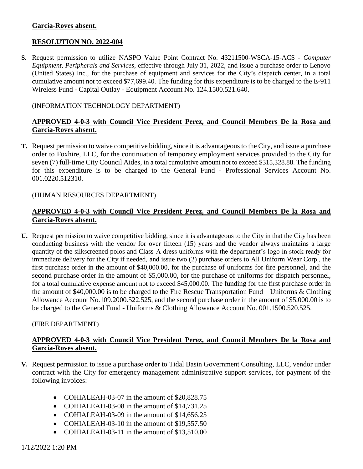#### **Garcia-Roves absent.**

### **RESOLUTION NO. 2022-004**

**S.** Request permission to utilize NASPO Value Point Contract No. 43211500-WSCA-15-ACS - *Computer Equipment, Peripherals and Services*, effective through July 31, 2022, and issue a purchase order to Lenovo (United States) Inc., for the purchase of equipment and services for the City's dispatch center, in a total cumulative amount not to exceed \$77,699.40. The funding for this expenditure is to be charged to the E-911 Wireless Fund - Capital Outlay - Equipment Account No. 124.1500.521.640.

#### (INFORMATION TECHNOLOGY DEPARTMENT)

### **APPROVED 4-0-3 with Council Vice President Perez, and Council Members De la Rosa and Garcia-Roves absent.**

**T.** Request permission to waive competitive bidding, since it is advantageous to the City, and issue a purchase order to Foxhire, LLC, for the continuation of temporary employment services provided to the City for seven (7) full-time City Council Aides, in a total cumulative amount not to exceed \$315,328.88. The funding for this expenditure is to be charged to the General Fund - Professional Services Account No. 001.0220.512310.

#### (HUMAN RESOURCES DEPARTMENT)

### **APPROVED 4-0-3 with Council Vice President Perez, and Council Members De la Rosa and Garcia-Roves absent.**

**U.** Request permission to waive competitive bidding, since it is advantageous to the City in that the City has been conducting business with the vendor for over fifteen (15) years and the vendor always maintains a large quantity of the silkscreened polos and Class-A dress uniforms with the department's logo in stock ready for immediate delivery for the City if needed, and issue two (2) purchase orders to All Uniform Wear Corp., the first purchase order in the amount of \$40,000.00, for the purchase of uniforms for fire personnel, and the second purchase order in the amount of \$5,000.00, for the purchase of uniforms for dispatch personnel, for a total cumulative expense amount not to exceed \$45,000.00. The funding for the first purchase order in the amount of \$40,000.00 is to be charged to the Fire Rescue Transportation Fund – Uniforms & Clothing Allowance Account No.109.2000.522.525, and the second purchase order in the amount of \$5,000.00 is to be charged to the General Fund - Uniforms & Clothing Allowance Account No. 001.1500.520.525.

#### (FIRE DEPARTMENT)

### **APPROVED 4-0-3 with Council Vice President Perez, and Council Members De la Rosa and Garcia-Roves absent.**

- **V.** Request permission to issue a purchase order to Tidal Basin Government Consulting, LLC, vendor under contract with the City for emergency management administrative support services, for payment of the following invoices:
	- COHIALEAH-03-07 in the amount of \$20,828.75
	- COHIALEAH-03-08 in the amount of \$14,731.25
	- COHIALEAH-03-09 in the amount of \$14,656.25
	- COHIALEAH-03-10 in the amount of \$19,557.50
	- COHIALEAH-03-11 in the amount of \$13,510.00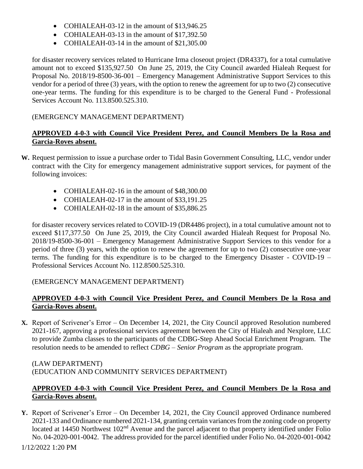- COHIALEAH-03-12 in the amount of \$13,946.25
- COHIALEAH-03-13 in the amount of \$17,392.50
- COHIALEAH-03-14 in the amount of \$21,305.00

for disaster recovery services related to Hurricane Irma closeout project (DR4337), for a total cumulative amount not to exceed \$135,927.50 On June 25, 2019, the City Council awarded Hialeah Request for Proposal No. 2018/19-8500-36-001 – Emergency Management Administrative Support Services to this vendor for a period of three (3) years, with the option to renew the agreement for up to two (2) consecutive one-year terms. The funding for this expenditure is to be charged to the General Fund - Professional Services Account No. 113.8500.525.310.

# (EMERGENCY MANAGEMENT DEPARTMENT)

# **APPROVED 4-0-3 with Council Vice President Perez, and Council Members De la Rosa and Garcia-Roves absent.**

- **W.** Request permission to issue a purchase order to Tidal Basin Government Consulting, LLC, vendor under contract with the City for emergency management administrative support services, for payment of the following invoices:
	- COHIALEAH-02-16 in the amount of \$48,300.00
	- COHIALEAH-02-17 in the amount of \$33,191.25
	- COHIALEAH-02-18 in the amount of \$35,886.25

for disaster recovery services related to COVID-19 (DR4486 project), in a total cumulative amount not to exceed \$117,377.50 On June 25, 2019, the City Council awarded Hialeah Request for Proposal No. 2018/19-8500-36-001 – Emergency Management Administrative Support Services to this vendor for a period of three (3) years, with the option to renew the agreement for up to two (2) consecutive one-year terms. The funding for this expenditure is to be charged to the Emergency Disaster - COVID-19 – Professional Services Account No. 112.8500.525.310.

### (EMERGENCY MANAGEMENT DEPARTMENT)

### **APPROVED 4-0-3 with Council Vice President Perez, and Council Members De la Rosa and Garcia-Roves absent.**

**X.** Report of Scrivener's Error – On December 14, 2021, the City Council approved Resolution numbered 2021-167, approving a professional services agreement between the City of Hialeah and Nexplore, LLC to provide Zumba classes to the participants of the CDBG-Step Ahead Social Enrichment Program. The resolution needs to be amended to reflect *CDBG – Senior Program* as the appropriate program.

#### (LAW DEPARTMENT) (EDUCATION AND COMMUNITY SERVICES DEPARTMENT)

### **APPROVED 4-0-3 with Council Vice President Perez, and Council Members De la Rosa and Garcia-Roves absent.**

**Y.** Report of Scrivener's Error – On December 14, 2021, the City Council approved Ordinance numbered 2021-133 and Ordinance numbered 2021-134, granting certain variances from the zoning code on property located at 14450 Northwest 102<sup>nd</sup> Avenue and the parcel adjacent to that property identified under Folio No. 04-2020-001-0042. The address provided for the parcel identified under Folio No. 04-2020-001-0042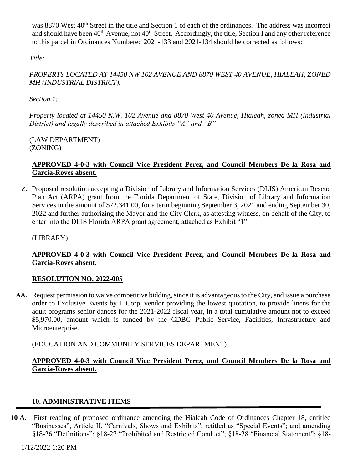was 8870 West 40<sup>th</sup> Street in the title and Section 1 of each of the ordinances. The address was incorrect and should have been 40<sup>th</sup> Avenue, not 40<sup>th</sup> Street. Accordingly, the title, Section I and any other reference to this parcel in Ordinances Numbered 2021-133 and 2021-134 should be corrected as follows:

*Title:*

# *PROPERTY LOCATED AT 14450 NW 102 AVENUE AND 8870 WEST 40 AVENUE, HIALEAH, ZONED MH (INDUSTRIAL DISTRICT).*

*Section 1:* 

*Property located at 14450 N.W. 102 Avenue and 8870 West 40 Avenue, Hialeah, zoned MH (Industrial District) and legally described in attached Exhibits "A" and "B"*

(LAW DEPARTMENT) (ZONING)

# **APPROVED 4-0-3 with Council Vice President Perez, and Council Members De la Rosa and Garcia-Roves absent.**

**Z.** Proposed resolution accepting a Division of Library and Information Services (DLIS) American Rescue Plan Act (ARPA) grant from the Florida Department of State, Division of Library and Information Services in the amount of \$72,341.00, for a term beginning September 3, 2021 and ending September 30, 2022 and further authorizing the Mayor and the City Clerk, as attesting witness, on behalf of the City, to enter into the DLIS Florida ARPA grant agreement, attached as Exhibit "1".

(LIBRARY)

# **APPROVED 4-0-3 with Council Vice President Perez, and Council Members De la Rosa and Garcia-Roves absent.**

# **RESOLUTION NO. 2022-005**

**AA.** Request permission to waive competitive bidding, since it is advantageous to the City, and issue a purchase order to Exclusive Events by L Corp, vendor providing the lowest quotation, to provide linens for the adult programs senior dances for the 2021-2022 fiscal year, in a total cumulative amount not to exceed \$5,970.00, amount which is funded by the CDBG Public Service, Facilities, Infrastructure and Microenterprise.

(EDUCATION AND COMMUNITY SERVICES DEPARTMENT)

# **APPROVED 4-0-3 with Council Vice President Perez, and Council Members De la Rosa and Garcia-Roves absent.**

# **10. ADMINISTRATIVE ITEMS**

**10 A.** First reading of proposed ordinance amending the Hialeah Code of Ordinances Chapter 18, entitled "Businesses", Article II. "Carnivals, Shows and Exhibits", retitled as "Special Events"; and amending §18-26 "Definitions"; §18-27 "Prohibited and Restricted Conduct"; §18-28 "Financial Statement"; §18-

1/12/2022 1:20 PM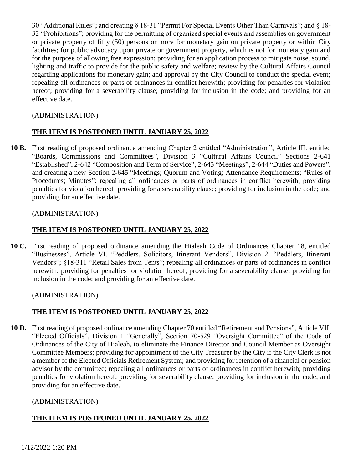30 "Additional Rules"; and creating § 18-31 "Permit For Special Events Other Than Carnivals"; and § 18- 32 "Prohibitions"; providing for the permitting of organized special events and assemblies on government or private property of fifty (50) persons or more for monetary gain on private property or within City facilities; for public advocacy upon private or government property, which is not for monetary gain and for the purpose of allowing free expression; providing for an application process to mitigate noise, sound, lighting and traffic to provide for the public safety and welfare; review by the Cultural Affairs Council regarding applications for monetary gain; and approval by the City Council to conduct the special event; repealing all ordinances or parts of ordinances in conflict herewith; providing for penalties for violation hereof; providing for a severability clause; providing for inclusion in the code; and providing for an effective date.

# (ADMINISTRATION)

# **THE ITEM IS POSTPONED UNTIL JANUARY 25, 2022**

**10 B.** First reading of proposed ordinance amending Chapter 2 entitled "Administration", Article III. entitled "Boards, Commissions and Committees", Division 3 "Cultural Affairs Council" Sections 2-641 "Established", 2-642 "Composition and Term of Service", 2-643 "Meetings", 2-644 "Duties and Powers", and creating a new Section 2-645 "Meetings; Quorum and Voting; Attendance Requirements; "Rules of Procedures; Minutes"; repealing all ordinances or parts of ordinances in conflict herewith; providing penalties for violation hereof; providing for a severability clause; providing for inclusion in the code; and providing for an effective date.

### (ADMINISTRATION)

### **THE ITEM IS POSTPONED UNTIL JANUARY 25, 2022**

**10 C.** First reading of proposed ordinance amending the Hialeah Code of Ordinances Chapter 18, entitled "Businesses", Article VI. "Peddlers, Solicitors, Itinerant Vendors", Division 2. "Peddlers, Itinerant Vendors"; §18-311 "Retail Sales from Tents"; repealing all ordinances or parts of ordinances in conflict herewith; providing for penalties for violation hereof; providing for a severability clause; providing for inclusion in the code; and providing for an effective date.

#### (ADMINISTRATION)

### **THE ITEM IS POSTPONED UNTIL JANUARY 25, 2022**

**10 D.** First reading of proposed ordinance amending Chapter 70 entitled "Retirement and Pensions", Article VII. "Elected Officials", Division 1 "Generally", Section 70-529 "Oversight Committee" of the Code of Ordinances of the City of Hialeah, to eliminate the Finance Director and Council Member as Oversight Committee Members; providing for appointment of the City Treasurer by the City if the City Clerk is not a member of the Elected Officials Retirement System; and providing for retention of a financial or pension advisor by the committee; repealing all ordinances or parts of ordinances in conflict herewith; providing penalties for violation hereof; providing for severability clause; providing for inclusion in the code; and providing for an effective date.

### (ADMINISTRATION)

### **THE ITEM IS POSTPONED UNTIL JANUARY 25, 2022**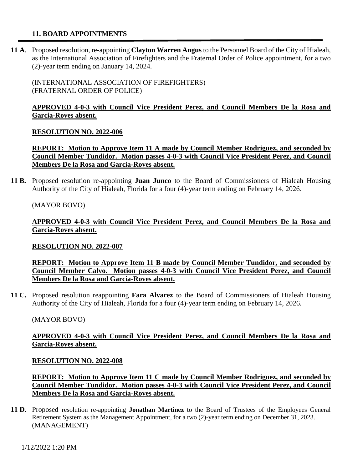#### **11. BOARD APPOINTMENTS**

**11 A**. Proposed resolution, re-appointing **Clayton Warren Angus** to the Personnel Board of the City of Hialeah, as the International Association of Firefighters and the Fraternal Order of Police appointment, for a two (2)-year term ending on January 14, 2024.

(INTERNATIONAL ASSOCIATION OF FIREFIGHTERS) (FRATERNAL ORDER OF POLICE)

#### **APPROVED 4-0-3 with Council Vice President Perez, and Council Members De la Rosa and Garcia-Roves absent.**

#### **RESOLUTION NO. 2022-006**

**REPORT: Motion to Approve Item 11 A made by Council Member Rodriguez, and seconded by Council Member Tundidor. Motion passes 4-0-3 with Council Vice President Perez, and Council Members De la Rosa and Garcia-Roves absent.**

**11 B.** Proposed resolution re-appointing **Juan Junco** to the Board of Commissioners of Hialeah Housing Authority of the City of Hialeah, Florida for a four (4)-year term ending on February 14, 2026.

(MAYOR BOVO)

**APPROVED 4-0-3 with Council Vice President Perez, and Council Members De la Rosa and Garcia-Roves absent.**

#### **RESOLUTION NO. 2022-007**

**REPORT: Motion to Approve Item 11 B made by Council Member Tundidor, and seconded by Council Member Calvo. Motion passes 4-0-3 with Council Vice President Perez, and Council Members De la Rosa and Garcia-Roves absent.**

**11 C.** Proposed resolution reappointing **Fara Alvarez** to the Board of Commissioners of Hialeah Housing Authority of the City of Hialeah, Florida for a four (4)-year term ending on February 14, 2026.

#### (MAYOR BOVO)

#### **APPROVED 4-0-3 with Council Vice President Perez, and Council Members De la Rosa and Garcia-Roves absent.**

#### **RESOLUTION NO. 2022-008**

**REPORT: Motion to Approve Item 11 C made by Council Member Rodriguez, and seconded by Council Member Tundidor. Motion passes 4-0-3 with Council Vice President Perez, and Council Members De la Rosa and Garcia-Roves absent.**

**11 D**. Proposed resolution re-appointing **Jonathan Martinez** to the Board of Trustees of the Employees General Retirement System as the Management Appointment, for a two (2)-year term ending on December 31, 2023. (MANAGEMENT)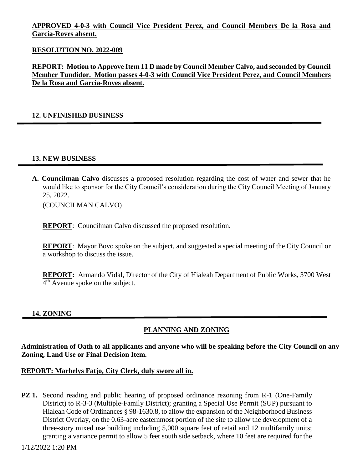### **APPROVED 4-0-3 with Council Vice President Perez, and Council Members De la Rosa and Garcia-Roves absent.**

#### **RESOLUTION NO. 2022-009**

**REPORT: Motion to Approve Item 11 D made by Council Member Calvo, and seconded by Council Member Tundidor. Motion passes 4-0-3 with Council Vice President Perez, and Council Members De la Rosa and Garcia-Roves absent.**

#### **12. UNFINISHED BUSINESS**

#### **13. NEW BUSINESS**

**A. Councilman Calvo** discusses a proposed resolution regarding the cost of water and sewer that he would like to sponsor for the City Council's consideration during the City Council Meeting of January 25, 2022.

(COUNCILMAN CALVO)

**REPORT**: Councilman Calvo discussed the proposed resolution.

**REPORT:** Mayor Bovo spoke on the subject, and suggested a special meeting of the City Council or a workshop to discuss the issue.

**REPORT:** Armando Vidal, Director of the City of Hialeah Department of Public Works, 3700 West 4<sup>th</sup> Avenue spoke on the subject.

#### **14. ZONING**

### **PLANNING AND ZONING**

**Administration of Oath to all applicants and anyone who will be speaking before the City Council on any Zoning, Land Use or Final Decision Item.**

#### **REPORT: Marbelys Fatjo, City Clerk, duly swore all in.**

**PZ 1.** Second reading and public hearing of proposed ordinance rezoning from R-1 (One-Family District) to R-3-3 (Multiple-Family District); granting a Special Use Permit (SUP) pursuant to Hialeah Code of Ordinances § 98-1630.8, to allow the expansion of the Neighborhood Business District Overlay, on the 0.63-acre easternmost portion of the site to allow the development of a three-story mixed use building including 5,000 square feet of retail and 12 multifamily units; granting a variance permit to allow 5 feet south side setback, where 10 feet are required for the

1/12/2022 1:20 PM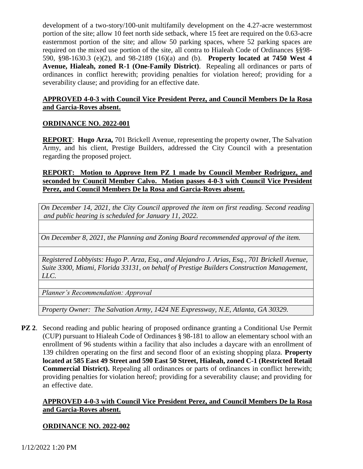development of a two-story/100-unit multifamily development on the 4.27-acre westernmost portion of the site; allow 10 feet north side setback, where 15 feet are required on the 0.63-acre easternmost portion of the site; and allow 50 parking spaces, where 52 parking spaces are required on the mixed use portion of the site, all contra to Hialeah Code of Ordinances §§98- 590, §98-1630.3 (e)(2), and 98-2189 (16)(a) and (b). **Property located at 7450 West 4 Avenue, Hialeah, zoned R-1 (One-Family District)**. Repealing all ordinances or parts of ordinances in conflict herewith; providing penalties for violation hereof; providing for a severability clause; and providing for an effective date.

### **APPROVED 4-0-3 with Council Vice President Perez, and Council Members De la Rosa and Garcia-Roves absent.**

### **ORDINANCE NO. 2022-001**

**REPORT:** Hugo Arza, 701 Brickell Avenue, representing the property owner, The Salvation Army, and his client, Prestige Builders, addressed the City Council with a presentation regarding the proposed project.

### **REPORT: Motion to Approve Item PZ 1 made by Council Member Rodriguez, and seconded by Council Member Calvo. Motion passes 4-0-3 with Council Vice President Perez, and Council Members De la Rosa and Garcia-Roves absent.**

*On December 14, 2021, the City Council approved the item on first reading. Second reading and public hearing is scheduled for January 11, 2022.*

*On December 8, 2021, the Planning and Zoning Board recommended approval of the item.* 

*Registered Lobbyists: Hugo P. Arza, Esq., and Alejandro J. Arias, Esq., 701 Brickell Avenue, Suite 3300, Miami, Florida 33131, on behalf of Prestige Builders Construction Management, LLC.*

*Planner's Recommendation: Approval* 

*Property Owner: The Salvation Army, 1424 NE Expressway, N.E, Atlanta, GA 30329.*

**PZ 2**. Second reading and public hearing of proposed ordinance granting a Conditional Use Permit (CUP) pursuant to Hialeah Code of Ordinances § 98-181 to allow an elementary school with an enrollment of 96 students within a facility that also includes a daycare with an enrollment of 139 children operating on the first and second floor of an existing shopping plaza. **Property located at 585 East 49 Street and 590 East 50 Street, Hialeah, zoned C-1 (Restricted Retail Commercial District).** Repealing all ordinances or parts of ordinances in conflict herewith; providing penalties for violation hereof; providing for a severability clause; and providing for an effective date.

# **APPROVED 4-0-3 with Council Vice President Perez, and Council Members De la Rosa and Garcia-Roves absent.**

### **ORDINANCE NO. 2022-002**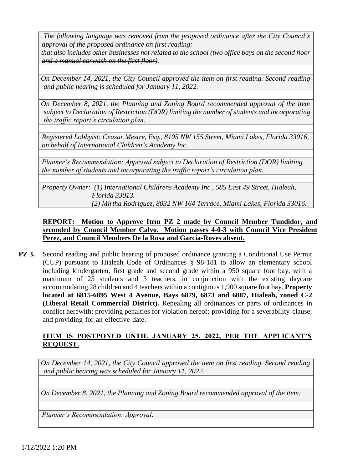*The following language was removed from the proposed ordinance after the City Council's approval of the proposed ordinance on first reading: that also includes other businesses not related to the school (two office bays on the second floor* 

*and a manual carwash on the first floor).*

*On December 14, 2021, the City Council approved the item on first reading. Second reading and public hearing is scheduled for January 11, 2022.*

*On December 8, 2021, the Planning and Zoning Board recommended approval of the item subject to Declaration of Restriction (DOR) limiting the number of students and incorporating the traffic report's circulation plan.*

*Registered Lobbyist: Ceasar Mestre, Esq., 8105 NW 155 Street, Miami Lakes, Florida 33016, on behalf of International Children's Academy Inc.*

*Planner's Recommendation: Approval subject to Declaration of Restriction (DOR) limiting the number of students and incorporating the traffic report's circulation plan.*

*Property Owner: (1) International Childrens Academy Inc., 585 East 49 Street, Hialeah, Florida 33013. (2) Mirtha Rodriguez, 8032 NW 164 Terrace, Miami Lakes, Florida 33016.*

# **REPORT: Motion to Approve Item PZ 2 made by Council Member Tundidor, and seconded by Council Member Calvo. Motion passes 4-0-3 with Council Vice President Perez, and Council Members De la Rosa and Garcia-Roves absent.**

**PZ 3.** Second reading and public hearing of proposed ordinance granting a Conditional Use Permit (CUP) pursuant to Hialeah Code of Ordinances § 98-181 to allow an elementary school including kindergarten, first grade and second grade within a 950 square foot bay, with a maximum of 25 students and 3 teachers, in conjunction with the existing daycare accommodating 28 children and 4 teachers within a contiguous 1,900 square foot bay. **Property located at 6815-6895 West 4 Avenue, Bays 6879, 6873 and 6887, Hialeah, zoned C-2 (Liberal Retail Commercial District).** Repealing all ordinances or parts of ordinances in conflict herewith; providing penalties for violation hereof; providing for a severability clause; and providing for an effective date.

# **ITEM IS POSTPONED UNTIL JANUARY 25, 2022, PER THE APPLICANT'S REQUEST.**

*On December 14, 2021, the City Council approved the item on first reading. Second reading and public hearing was scheduled for January 11, 2022.*

*On December 8, 2021, the Planning and Zoning Board recommended approval of the item.*

*Planner's Recommendation: Approval.*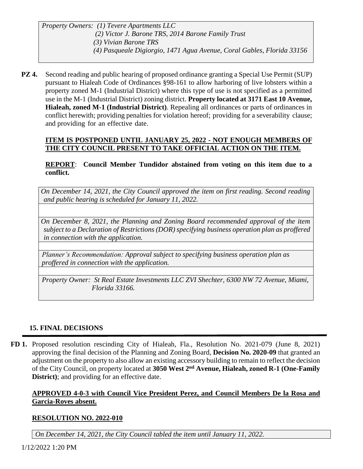*Property Owners: (1) Tevere Apartments LLC (2) Victor J. Barone TRS, 2014 Barone Family Trust (3) Vivian Barone TRS (4) Pasqueale Digiorgio, 1471 Agua Avenue, Coral Gables, Florida 33156*

**PZ 4.** Second reading and public hearing of proposed ordinance granting a Special Use Permit (SUP) pursuant to Hialeah Code of Ordinances §98-161 to allow harboring of live lobsters within a property zoned M-1 (Industrial District) where this type of use is not specified as a permitted use in the M-1 (Industrial District) zoning district. **Property located at 3171 East 10 Avenue, Hialeah, zoned M-1 (Industrial District)**. Repealing all ordinances or parts of ordinances in conflict herewith; providing penalties for violation hereof; providing for a severability clause; and providing for an effective date.

# **ITEM IS POSTPONED UNTIL JANUARY 25, 2022 - NOT ENOUGH MEMBERS OF THE CITY COUNCIL PRESENT TO TAKE OFFICIAL ACTION ON THE ITEM.**

### **REPORT**: **Council Member Tundidor abstained from voting on this item due to a conflict.**

*On December 14, 2021, the City Council approved the item on first reading. Second reading and public hearing is scheduled for January 11, 2022.*

*On December 8, 2021, the Planning and Zoning Board recommended approval of the item subject to a Declaration of Restrictions (DOR) specifying business operation plan as proffered in connection with the application.*

*Planner's Recommendation: Approval subject to specifying business operation plan as proffered in connection with the application.*

*Property Owner: St Real Estate Investments LLC ZVI Shechter, 6300 NW 72 Avenue, Miami, Florida 33166.*

# **15. FINAL DECISIONS**

**FD 1.** Proposed resolution rescinding City of Hialeah, Fla., Resolution No. 2021-079 (June 8, 2021) approving the final decision of the Planning and Zoning Board, **Decision No. 2020-09** that granted an adjustment on the property to also allow an existing accessory building to remain to reflect the decision of the City Council, on property located at **3050 West 2nd Avenue, Hialeah, zoned R-1 (One-Family District**); and providing for an effective date.

# **APPROVED 4-0-3 with Council Vice President Perez, and Council Members De la Rosa and Garcia-Roves absent.**

# **RESOLUTION NO. 2022-010**

*On December 14, 2021, the City Council tabled the item until January 11, 2022.*